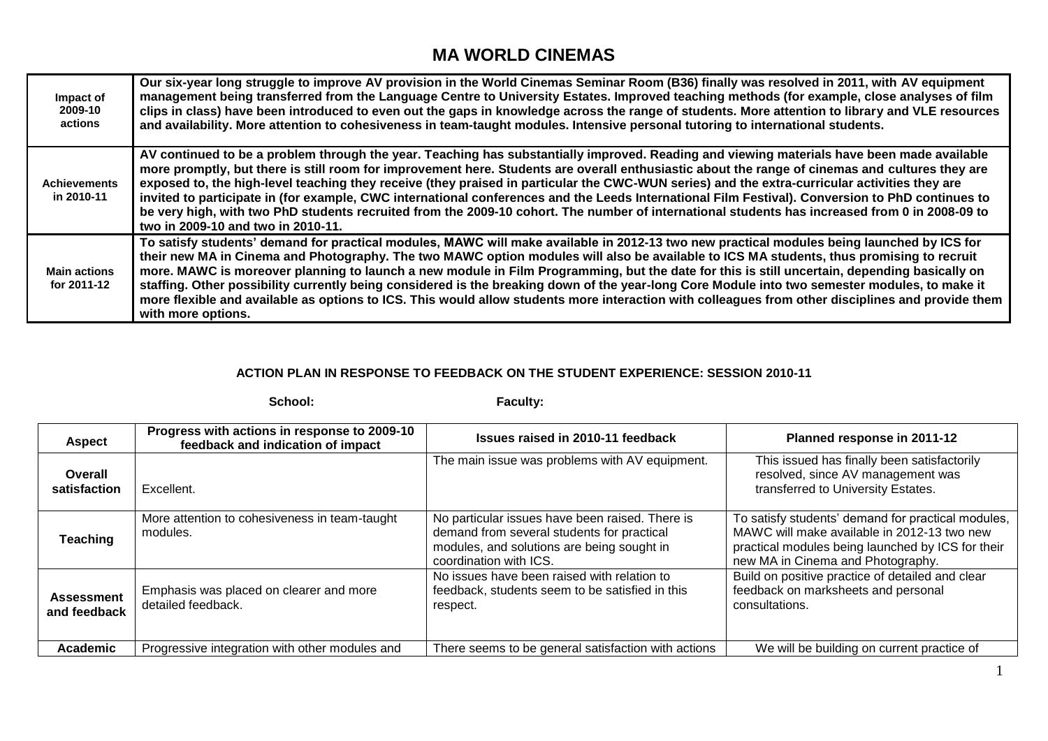## **MA WORLD CINEMAS**

| Impact of<br>2009-10<br>actions    | Our six-year long struggle to improve AV provision in the World Cinemas Seminar Room (B36) finally was resolved in 2011, with AV equipment<br>management being transferred from the Language Centre to University Estates. Improved teaching methods (for example, close analyses of film<br>clips in class) have been introduced to even out the gaps in knowledge across the range of students. More attention to library and VLE resources<br>and availability. More attention to cohesiveness in team-taught modules. Intensive personal tutoring to international students.                                                                                                                                                                                                           |
|------------------------------------|--------------------------------------------------------------------------------------------------------------------------------------------------------------------------------------------------------------------------------------------------------------------------------------------------------------------------------------------------------------------------------------------------------------------------------------------------------------------------------------------------------------------------------------------------------------------------------------------------------------------------------------------------------------------------------------------------------------------------------------------------------------------------------------------|
| <b>Achievements</b><br>in 2010-11  | AV continued to be a problem through the year. Teaching has substantially improved. Reading and viewing materials have been made available<br>more promptly, but there is still room for improvement here. Students are overall enthusiastic about the range of cinemas and cultures they are<br>exposed to, the high-level teaching they receive (they praised in particular the CWC-WUN series) and the extra-curricular activities they are<br>invited to participate in (for example, CWC international conferences and the Leeds International Film Festival). Conversion to PhD continues to<br>be very high, with two PhD students recruited from the 2009-10 cohort. The number of international students has increased from 0 in 2008-09 to<br>two in 2009-10 and two in 2010-11. |
| <b>Main actions</b><br>for 2011-12 | To satisfy students' demand for practical modules, MAWC will make available in 2012-13 two new practical modules being launched by ICS for<br>their new MA in Cinema and Photography. The two MAWC option modules will also be available to ICS MA students, thus promising to recruit<br>more. MAWC is moreover planning to launch a new module in Film Programming, but the date for this is still uncertain, depending basically on<br>staffing. Other possibility currently being considered is the breaking down of the year-long Core Module into two semester modules, to make it<br>more flexible and available as options to ICS. This would allow students more interaction with colleagues from other disciplines and provide them<br>with more options.                        |

## **ACTION PLAN IN RESPONSE TO FEEDBACK ON THE STUDENT EXPERIENCE: SESSION 2010-11**

|                                   | School:                                                                           | Faculty:                                                                                                                                                              |                                                                                                                                                                                             |
|-----------------------------------|-----------------------------------------------------------------------------------|-----------------------------------------------------------------------------------------------------------------------------------------------------------------------|---------------------------------------------------------------------------------------------------------------------------------------------------------------------------------------------|
| <b>Aspect</b>                     | Progress with actions in response to 2009-10<br>feedback and indication of impact | Issues raised in 2010-11 feedback                                                                                                                                     | Planned response in 2011-12                                                                                                                                                                 |
| Overall<br>satisfaction           | Excellent.                                                                        | The main issue was problems with AV equipment.                                                                                                                        | This issued has finally been satisfactorily<br>resolved, since AV management was<br>transferred to University Estates.                                                                      |
| <b>Teaching</b>                   | More attention to cohesiveness in team-taught<br>modules.                         | No particular issues have been raised. There is<br>demand from several students for practical<br>modules, and solutions are being sought in<br>coordination with ICS. | To satisfy students' demand for practical modules,<br>MAWC will make available in 2012-13 two new<br>practical modules being launched by ICS for their<br>new MA in Cinema and Photography. |
| <b>Assessment</b><br>and feedback | Emphasis was placed on clearer and more<br>detailed feedback.                     | No issues have been raised with relation to<br>feedback, students seem to be satisfied in this<br>respect.                                                            | Build on positive practice of detailed and clear<br>feedback on marksheets and personal<br>consultations.                                                                                   |
| Academic                          | Progressive integration with other modules and                                    | There seems to be general satisfaction with actions                                                                                                                   | We will be building on current practice of                                                                                                                                                  |